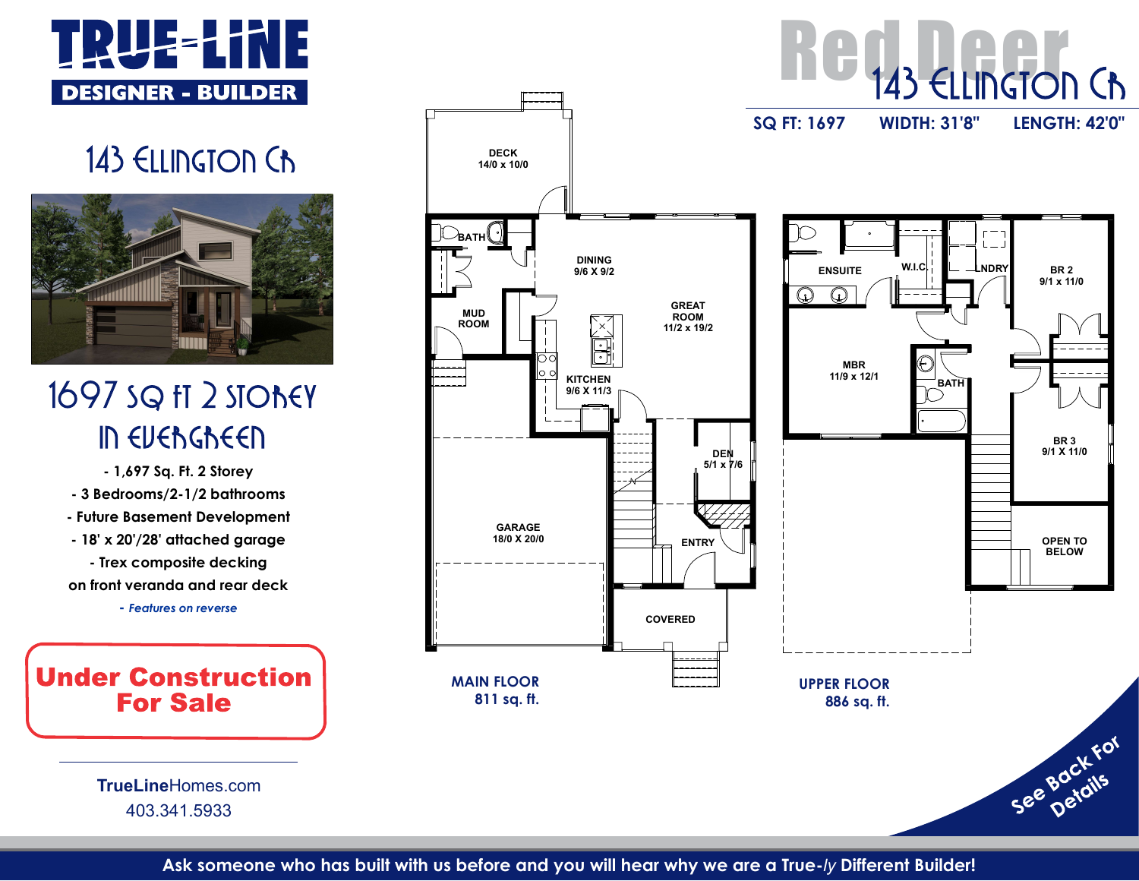



- 3 Bedrooms/2-1/2 bathrooms - Future Basement Development - Trex composite decking on front veranda and rear deck

- Features on reverse

TrueLineHomes.com 403.341.5933